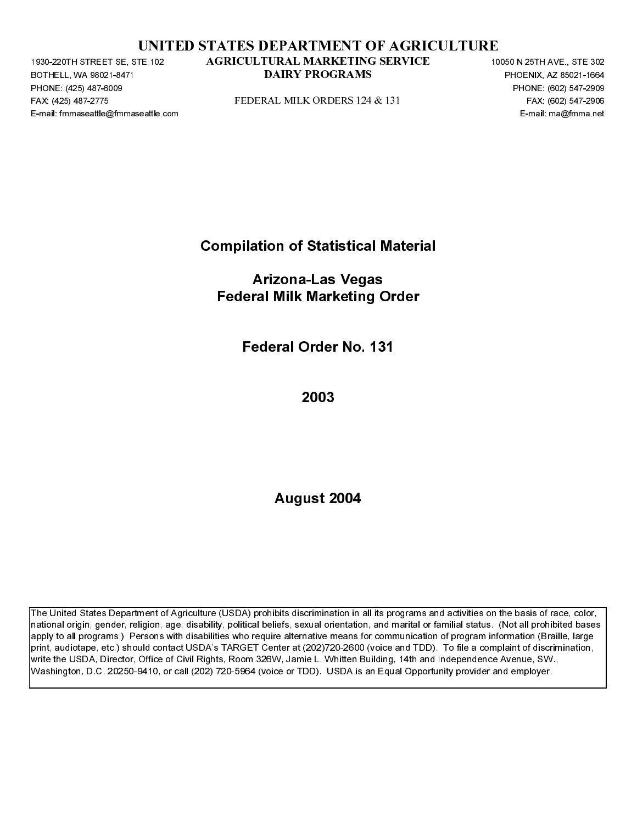|  | UNITED STATES DEPARTMENT OF AGRICULTURE |  |  |
|--|-----------------------------------------|--|--|
|  |                                         |  |  |

BOTHELL, WA 98021-8471<br>BOTHELL, WA 98021-8471<br>PHONE: (425) 487-6009<br>FAX: (425) 487-6009<br>E-mail: fmmaseattle@fmmaseattle.c PHONE: (425) 487-6009<br>FAX: (425) 487-6009<br>FAX: (425) 487-2775<br>E-mail: fmmaseattle@fmma FAX: (425) 487-2271 STATED STATES DEPARTMENT OF AGRICULTURE<br>
FACULT AGRICULTIONAL MARKETING SERVICE<br>
FOR A CHECHA MILK ORDERS 124 & 131<br>
FACULT AGRICULTIONAL MILK ORDERS 124 & 131<br>
FACULT AGRICULTION<br>
FACULT AGRICULTION<br>

Compilation of Statistical Material

PEDERAL MILK ORDERS 124 & 131<br>
PAX: (425) 487-2909<br>
PENE: max: max: paral: max: paral: paral: max: paral: paral: paral: paral: paral: paral: paral: paral: paral: paral: paral: paral: paral: paral: paral: paral: paral: para E-mail: Compilation of Statistical Material<br>Arizona-Las Vegas<br>Federal Milk Marketing Order<br>Federal Order No. 131<br>2003<br>August 2004 Arizona-Las Vegas Federal Milk Marketing Order

Federal Order No. 131

2003

August 2004

**DATRY PROGRAMS**<br>
PHONE, 6003 BY: 1992<br>
PEDERAL MILK ORDERS 124-8, 151<br>
PEDERAL MARKETING DEVICE 10050 N 2505<br>
FOR 12050 PEDERAL MARKETING DATE:<br> **ACTION COMPLETE 100** OF Statistical Material<br> **ACTION COMPLETE 100**<br> **ALGU** Problem and Material<br>
Problem and Material<br>
From a magnitude of the state of 2002-167-2006<br>
From a magnitude of the state of the state of 2014<br>
DAIRY PROGRAMS PHOENIX, A single-state of 2014<br>
Problem and Material<br>
Problem The United States Department of Agriculture (USDA) prohibits discrimination in all its programs and activities on the basis of race, color, national origin, gender, religion, age, disability, political beliefs, sexual orientation, and marital or familial status. (Not all prohibited bases apply to all programs.) Persons with disabilities who require alternative means for communication of program information (Braille, large print, audiotape, etc.) should contact USDA's TARGET Center at (202)720-2600 (voice and TDD). To file a complaint of discrimination, write the USDA, Director, Office of Civil Rights, Room 326W, Jamie L. Whitten Building, 14th and Independence Avenue, SW., Washington, D.C. 20250-9410, or call (202) 720-5964 (voice or TDD). USDA is an Equal Opportunity provider and employer. TE-32<br>
AGRICULTRAL MARKFITNG SERVICE<br>
DAIRY PROGRAMS<br>
FIDERAL MILK ORDERS 124 & 131<br>
Compilation of Statistical Material<br>
Arizona-Las Vegas<br>
Federal Milk Marketing Order<br>
Federal Milk Marketing Order<br>
Federal Order No. 131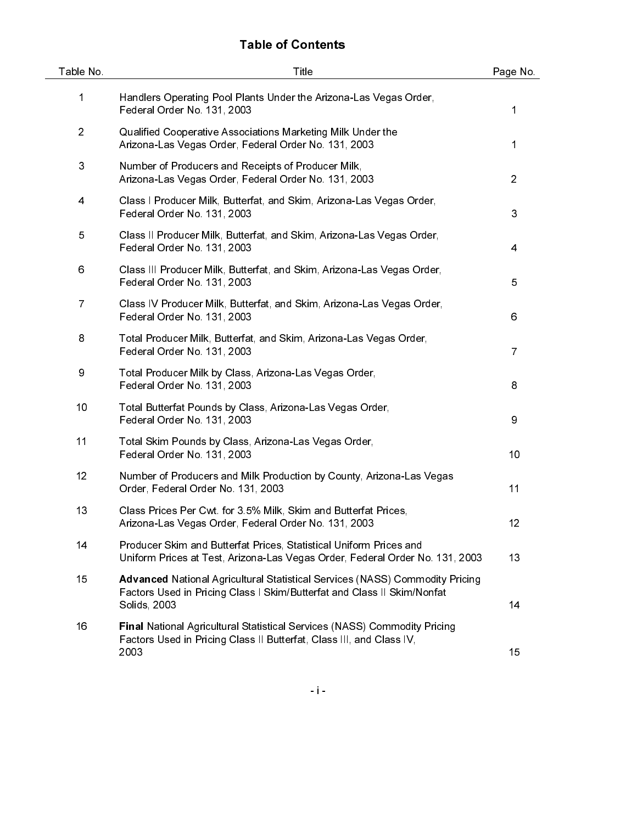# Table of Contents

| Table No.      | Title                                                                                                                                                                          | Page No.       |
|----------------|--------------------------------------------------------------------------------------------------------------------------------------------------------------------------------|----------------|
| 1              | Handlers Operating Pool Plants Under the Arizona-Las Vegas Order,<br>Federal Order No. 131, 2003                                                                               | 1              |
| $\overline{2}$ | Qualified Cooperative Associations Marketing Milk Under the<br>Arizona-Las Vegas Order, Federal Order No. 131, 2003                                                            | 1              |
| 3              | Number of Producers and Receipts of Producer Milk,<br>Arizona-Las Vegas Order, Federal Order No. 131, 2003                                                                     | $\overline{2}$ |
| 4              | Class I Producer Milk, Butterfat, and Skim, Arizona-Las Vegas Order,<br>Federal Order No. 131, 2003                                                                            | 3              |
| 5              | Class II Producer Milk, Butterfat, and Skim, Arizona-Las Vegas Order,<br>Federal Order No. 131, 2003                                                                           | 4              |
| 6              | Class III Producer Milk, Butterfat, and Skim, Arizona-Las Vegas Order,<br>Federal Order No. 131, 2003                                                                          | 5              |
| $\overline{7}$ | Class IV Producer Milk, Butterfat, and Skim, Arizona-Las Vegas Order,<br>Federal Order No. 131, 2003                                                                           | 6              |
| 8              | Total Producer Milk, Butterfat, and Skim, Arizona-Las Vegas Order,<br>Federal Order No. 131, 2003                                                                              | $\overline{7}$ |
| 9              | Total Producer Milk by Class, Arizona-Las Vegas Order,<br>Federal Order No. 131, 2003                                                                                          | 8              |
| 10             | Total Butterfat Pounds by Class, Arizona-Las Vegas Order,<br>Federal Order No. 131, 2003                                                                                       | 9              |
| 11             | Total Skim Pounds by Class, Arizona-Las Vegas Order,<br>Federal Order No. 131, 2003                                                                                            | 10             |
| 12             | Number of Producers and Milk Production by County, Arizona-Las Vegas<br>Order, Federal Order No. 131, 2003                                                                     | 11             |
| 13             | Class Prices Per Cwt. for 3.5% Milk, Skim and Butterfat Prices,<br>Arizona-Las Vegas Order, Federal Order No. 131, 2003                                                        | 12             |
| 14             | Producer Skim and Butterfat Prices, Statistical Uniform Prices and<br>Uniform Prices at Test, Arizona-Las Vegas Order, Federal Order No. 131, 2003                             | 13             |
| 15             | <b>Advanced National Agricultural Statistical Services (NASS) Commodity Pricing</b><br>Factors Used in Pricing Class I Skim/Butterfat and Class II Skim/Nonfat<br>Solids, 2003 | 14             |
| 16             | Final National Agricultural Statistical Services (NASS) Commodity Pricing<br>Factors Used in Pricing Class II Butterfat, Class III, and Class IV,<br>2003                      | 15             |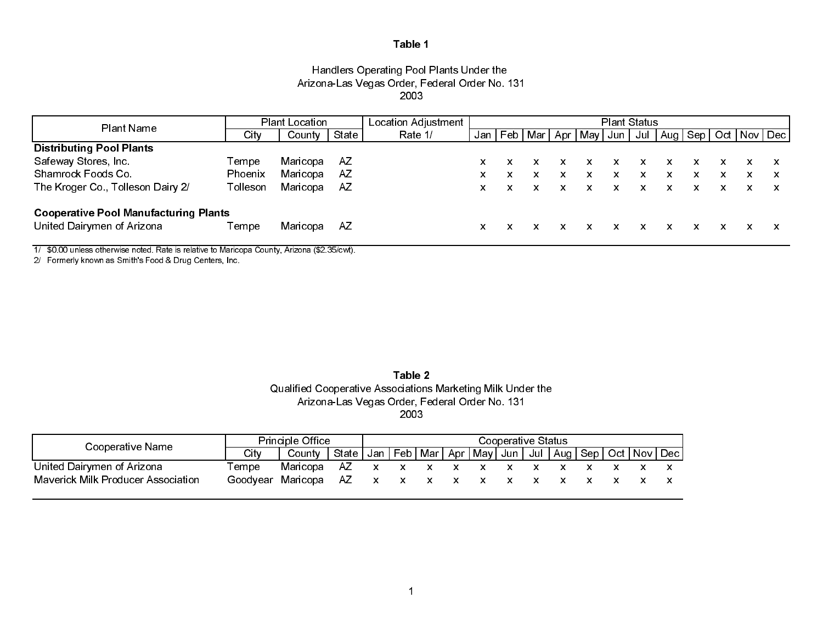#### Handlers Operating Pool Plants Under the Arizona-Las Vegas Order, Federal Order No. 131 2003

| Plant Name                                   |                | <b>Plant Location</b> |       | Location Adjustment | <b>Plant Status</b> |                       |  |   |            |    |   |                                   |    |   |   |  |
|----------------------------------------------|----------------|-----------------------|-------|---------------------|---------------------|-----------------------|--|---|------------|----|---|-----------------------------------|----|---|---|--|
|                                              | Citv           | County                | State | Rate 1/             |                     | Jan   Feb   Mar   Apr |  |   | ∙ May Jun∣ |    |   | Jul   Aug   Sep   Oct   Nov   Dec |    |   |   |  |
| <b>Distributing Pool Plants</b>              |                |                       |       |                     |                     |                       |  |   |            |    |   |                                   |    |   |   |  |
| Safeway Stores, Inc.                         | Tempe          | Maricopa              | -AZ   |                     | X.                  |                       |  |   | x          | X. | x |                                   |    |   |   |  |
| Shamrock Foods Co.                           | <b>Phoenix</b> | Maricopa              | AZ.   |                     | x                   | x                     |  | x | x          | X  | x | x                                 | x  | x | x |  |
| The Kroger Co., Tolleson Dairy 2/            | Tolleson       | Maricopa              | AZ.   |                     | x                   |                       |  |   | x.         | X. | x | X.                                | X. |   |   |  |
| <b>Cooperative Pool Manufacturing Plants</b> |                |                       |       |                     |                     |                       |  |   |            |    |   |                                   |    |   |   |  |
| United Dairymen of Arizona                   | Tempe          | Maricopa              | AZ.   |                     | X.                  |                       |  |   |            |    |   |                                   |    |   |   |  |

1/ \$0.00 unless otherwise noted. Rate is relative to Maricopa County, Arizona (\$2.35/cwt).

2/ Formerly known as Smith's Food & Drug Centers, Inc.

| Table 2                                                     |
|-------------------------------------------------------------|
| Qualified Cooperative Associations Marketing Milk Under the |
| Arizona-Las Vegas Order, Federal Order No. 131              |
| 2003                                                        |

| Cooperative Name                          | <b>Principle Office</b> |                                   | Cooperative Status                                                            |  |  |  |  |  |  |  |  |  |  |  |
|-------------------------------------------|-------------------------|-----------------------------------|-------------------------------------------------------------------------------|--|--|--|--|--|--|--|--|--|--|--|
|                                           | City                    | County                            | State   Jan   Feb   Mar   Apr   May   Jun   Jul   Aug   Sep   Oct   Nov   Dec |  |  |  |  |  |  |  |  |  |  |  |
| United Dairymen of Arizona                | Tempe                   | Maricopa AZ x x x x x x x x x x x |                                                                               |  |  |  |  |  |  |  |  |  |  |  |
| <b>Maverick Milk Producer Association</b> | Goodvear                | Maricopa AZ x x x x x x x x x x x |                                                                               |  |  |  |  |  |  |  |  |  |  |  |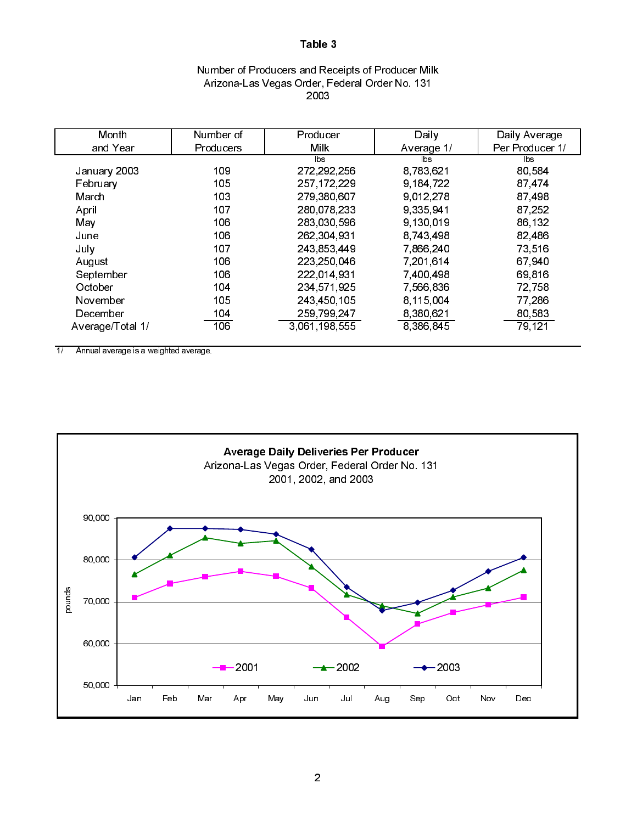### Number of Producers and Receipts of Producer Milk Arizona-Las Vegas Order, Federal Order No. 131 2003

| Month            | Number of        | Producer      | Daily      | Daily Average   |
|------------------|------------------|---------------|------------|-----------------|
| and Year         | <b>Producers</b> | <b>Milk</b>   | Average 1/ | Per Producer 1/ |
|                  |                  | lbs.          | <b>bs</b>  | lbs.            |
| January 2003     | 109              | 272,292,256   | 8 783 621  | 80 584          |
| February         | 105              | 257, 172, 229 | 9 184 722  | 87 474          |
| March            | 103              | 279 380 607   | 9.012.278  | 87 498          |
| April            | 107              | 280 078 233   | 9 335 941  | 87 252          |
| May              | 106              | 283 030 596   | 9 130 019  | 86 132          |
| June             | 106              | 262,304,931   | 8,743,498  | 82 486          |
| July             | 107              | 243 853 449   | 7 866 240  | 73 516          |
| August           | 106              | 223,250,046   | 7 201 614  | 67 940          |
| September        | 106              | 222 014 931   | 7 400 498  | 69.816          |
| October          | 104              | 234 571 925   | 7,566,836  | 72.758          |
| November         | 105              | 243,450,105   | 8.115.004  | 77 286          |
| December         | 104              | 259,799,247   | 8 380 621  | 80 583          |
| Average/Total 1/ | 106              | 3.061.198.555 | 8 386 845  | 79.121          |

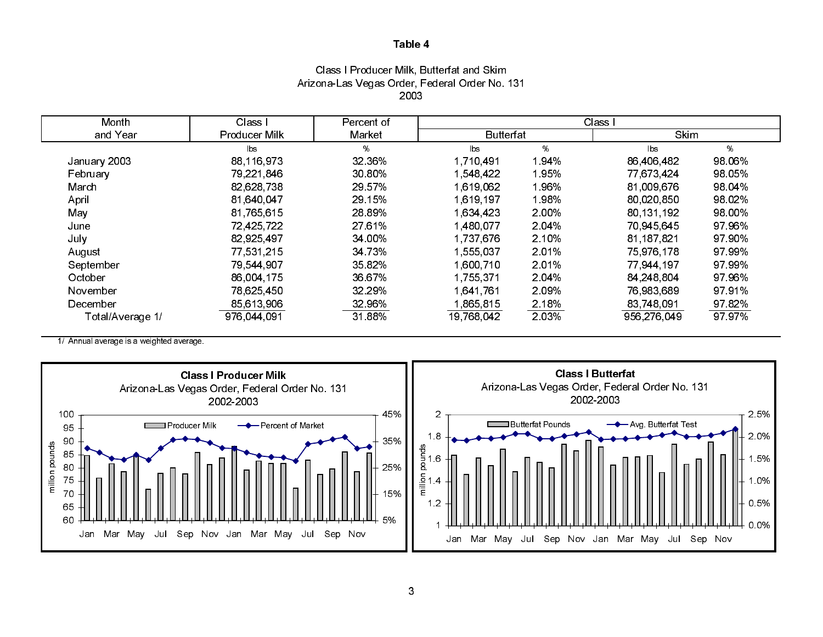# Class I Producer Milk, Butterfat and Skim Arizona-Las Vegas Order, Federal Order No. 131 2003

| Month            | Class I       | Percent of | Class I          |        |             |        |  |
|------------------|---------------|------------|------------------|--------|-------------|--------|--|
| and Year         | Producer Milk | Market     | <b>Butterfat</b> |        | <b>Skim</b> |        |  |
|                  | lbs           | %          | bs               | %      | <b>lbs</b>  | %      |  |
| January 2003     | 88,116,973    | 32 36%     | 1,710,491        | 1.94%  | 86,406,482  | 98 06% |  |
| February         | 79.221.846    | 30 80%     | 1 548 422        | 1 95%  | 77 673 424  | 98 05% |  |
| March            | 82,628,738    | 29 57%     | 1 619 062        | 1.96%  | 81,009,676  | 98 04% |  |
| April            | 81,640,047    | 29 15%     | 1.619.197        | 1.98%  | 80 020 850  | 98 02% |  |
| May              | 81,765,615    | 28 89%     | 1.634.423        | 2.00%  | 80 131 192  | 98 00% |  |
| June             | 72,425,722    | 27 61%     | 1.480.077        | 2.04%  | 70.945.645  | 97 96% |  |
| July             | 82,925,497    | 34.00%     | 1 737 676        | 2 10%  | 81,187,821  | 97 90% |  |
| August           | 77.531.215    | 34 73%     | 1,555,037        | 2 0 1% | 75 976 178  | 97 99% |  |
| September        | 79,544,907    | 35 82%     | 1,600,710        | 2 0 1% | 77 944 197  | 97 99% |  |
| October          | 86 004 175    | 36 67%     | 1.755.371        | 2 04%  | 84 248 804  | 97 96% |  |
| November         | 78 625 450    | 32.29%     | 1641761          | 2 09%  | 76.983.689  | 9791%  |  |
| December         | 85,613,906    | 32 96%     | 1,865,815        | 2.18%  | 83,748,091  | 9782%  |  |
| Total/Average 1/ | 976,044.091   | 31 88%     | 19,768,042       | 2.03%  | 956,276,049 | 97 97% |  |

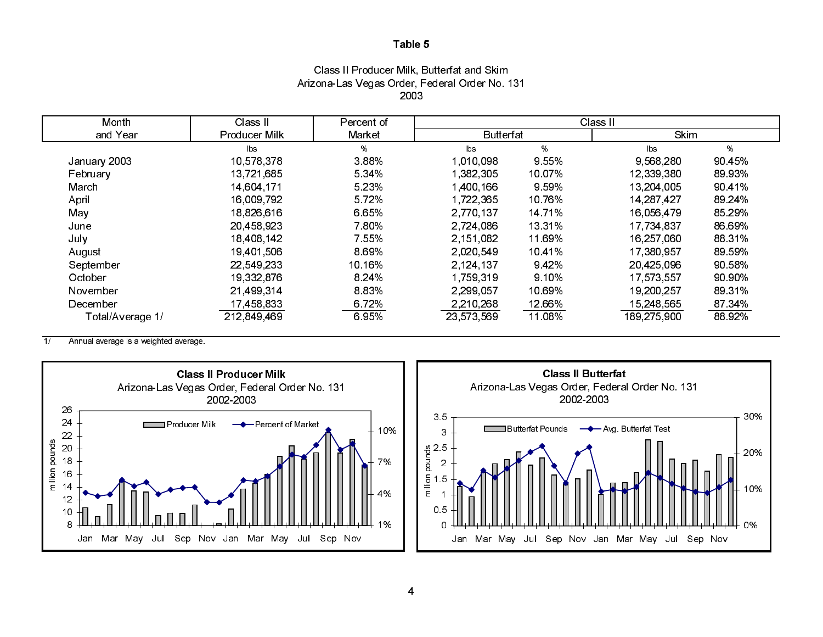# Class II Producer Milk, Butterfat and Skim Arizona-Las Vegas Order, Federal Order No. 131 2003

| Month            | Class II      | Percent of | Class II         |         |                |        |  |
|------------------|---------------|------------|------------------|---------|----------------|--------|--|
| and Year         | Producer Milk | Market     | <b>Butterfat</b> |         | <b>Skim</b>    |        |  |
|                  | lbs.          | %          | $\mathsf{lbs}$   | %       | $\mathsf{lbs}$ | %      |  |
| January 2003     | 10,578,378    | 3 8 8 %    | 1,010,098        | 9.55%   | 9,568,280      | 90 45% |  |
| February         | 13,721,685    | 5 3 4 %    | 1 382 305        | 10 07%  | 12,339,380     | 89 93% |  |
| March            | 14 604 171    | 5.23%      | 1,400,166        | 9 5 9 % | 13,204,005     | 90 41% |  |
| April            | 16,009,792    | 5 7 2%     | 1,722,365        | 10 76%  | 14,287,427     | 89.24% |  |
| May              | 18,826,616    | 6.65%      | 2,770,137        | 14 7 1% | 16 056 479     | 85 29% |  |
| June             | 20 458 923    | 7.80%      | 2 7 2 4 0 8 6    | 13 3 1% | 17,734,837     | 86 69% |  |
| July             | 18,408,142    | 7 5 5 %    | 2,151,082        | 11 69%  | 16,257,060     | 88 31% |  |
| August           | 19,401,506    | 8.69%      | 2,020,549        | 10 4 1% | 17,380,957     | 89 59% |  |
| September        | 22 549 233    | 10.16%     | 2 124 137        | 9.42%   | 20 425 096     | 90 58% |  |
| October          | 19,332,876    | 8 2 4 %    | 1,759,319        | 9 10%   | 17,573,557     | 90 90% |  |
| November         | 21,499,314    | 883%       | 2 299 057        | 10 69%  | 19,200,257     | 89 31% |  |
| December         | 17,458,833    | 6.72%      | 2,210,268        | 12.66%  | 15,248,565     | 87 34% |  |
| Total/Average 1/ | 212,849,469   | 6.95%      | 23,573,569       | 11.08%  | 189,275,900    | 88 92% |  |

 $\overline{1}$ Annual average is a weighted average.



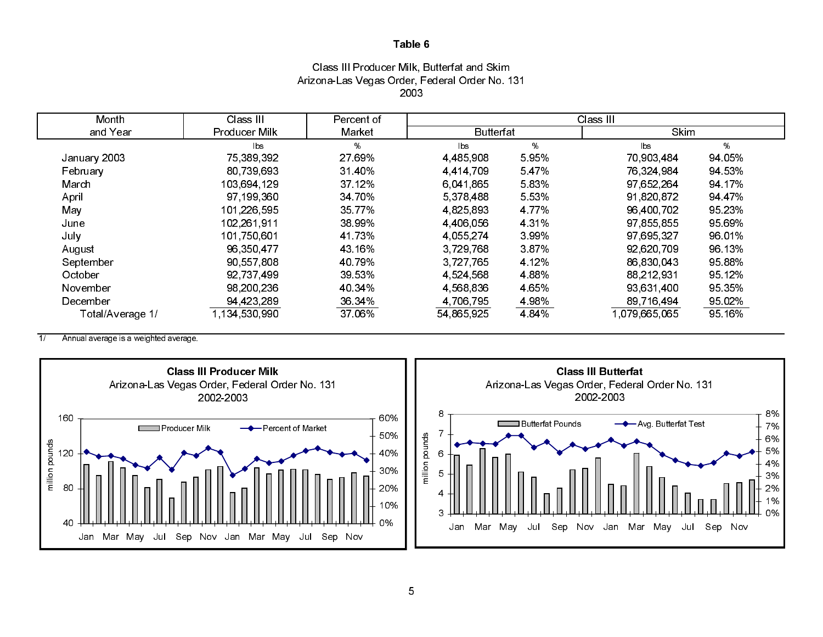# Class III Producer Milk, Butterfat and Skim Arizona-Las Vegas Order, Federal Order No. 131 2003

| Month            | Class III     | Percent of | Class III        |         |               |        |  |  |
|------------------|---------------|------------|------------------|---------|---------------|--------|--|--|
| and Year         | Producer Milk | Market     | <b>Butterfat</b> |         | Skim          |        |  |  |
|                  | lbs           | %          | <b>lbs</b>       | %       | lbs           | %      |  |  |
| January 2003     | 75,389,392    | 27 69%     | 4,485,908        | 5.95%   | 70,903,484    | 94 05% |  |  |
| February         | 80 739 693    | 31 40%     | 4 4 14 7 09      | 547%    | 76,324,984    | 94 53% |  |  |
| March            | 103,694,129   | 37.12%     | 6,041,865        | 5.83%   | 97,652,264    | 94 17% |  |  |
| April            | 97 199 360    | 34 70%     | 5,378,488        | 5.53%   | 91,820,872    | 94 47% |  |  |
| May              | 101,226,595   | 35 7 7 %   | 4,825,893        | 4 7 7 % | 96,400,702    | 95 23% |  |  |
| June             | 102,261,911   | 38 99%     | 4 4 0 6 0 5 6    | 4 3 1 % | 97,855,855    | 95 69% |  |  |
| July             | 101,750,601   | 41 73%     | 4.055,274        | 3.99%   | 97,695,327    | 96 01% |  |  |
| August           | 96,350,477    | 43 16%     | 3,729,768        | 387%    | 92,620,709    | 96 13% |  |  |
| September        | 90,557,808    | 40 79%     | 3 7 2 7 7 6 5    | 4 1 2 % | 86,830,043    | 95 88% |  |  |
| October          | 92,737,499    | 39 53%     | 4 5 24 5 6 8     | 4 8 8 % | 88 212 931    | 95 12% |  |  |
| November         | 98,200,236    | 40 34%     | 4,568,836        | 4 65%   | 93,631,400    | 95.35% |  |  |
| December         | 94 423 289    | 36.34%     | 4,706,795        | 4 98%   | 89,716,494    | 95.02% |  |  |
| Total/Average 1/ | 1,134,530,990 | 37.06%     | 54,865,925       | 4 8 4 % | 1,079,665,065 | 95 16% |  |  |

 $\overline{1/}$ Annual average is a weighted average.

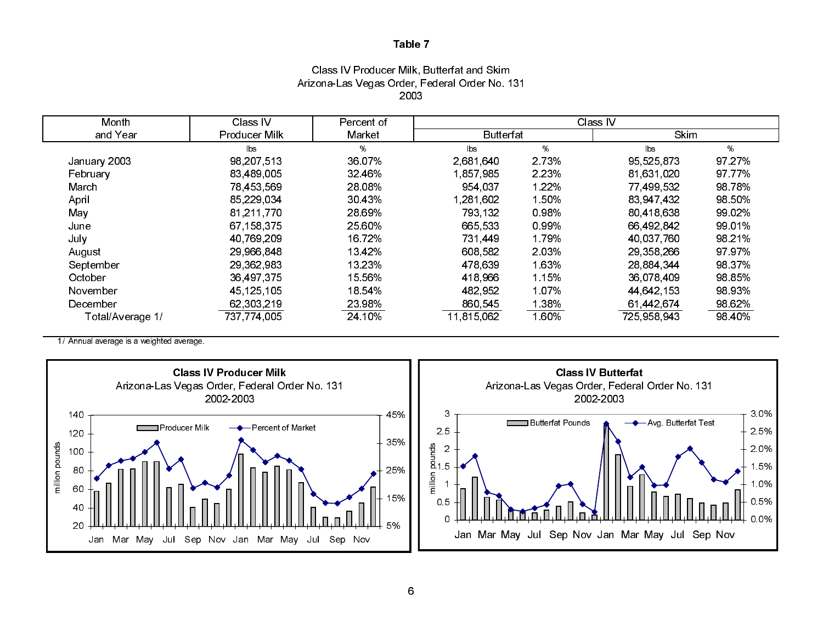# Class IV Producer Milk, Butterfat and Skim Arizona-Las Vegas Order, Federal Order No. 131 2003

| Month            | Class IV      | Percent of | Class IV         |         |             |        |  |
|------------------|---------------|------------|------------------|---------|-------------|--------|--|
| and Year         | Producer Milk | Market     | <b>Butterfat</b> |         | <b>Skim</b> |        |  |
|                  | lbs           | %          | $\mathsf{lbs}$   | ℅       | lbs         | %      |  |
| January 2003     | 98,207,513    | 36 07%     | 2.681.640        | 2 7 3 % | 95,525,873  | 97.27% |  |
| February         | 83 489 005    | 32 46%     | 1,857,985        | 2 2 3 % | 81 631 020  | 97 77% |  |
| March            | 78,453,569    | 28 08%     | 954.037          | 1 22%   | 77,499,532  | 98 78% |  |
| April            | 85,229,034    | 30 43%     | 1.281.602        | 150%    | 83,947,432  | 98 50% |  |
| May              | 81.211.770    | 28 69%     | 793 132          | 0.98%   | 80 418 638  | 99 02% |  |
| June             | 67 158 375    | 25 60%     | 665.533          | 0.99%   | 66 492 842  | 99 01% |  |
| July             | 40,769,209    | 16 72%     | 731,449          | 1.79%   | 40 037 760  | 98 21% |  |
| August           | 29,966,848    | 13 4 2 %   | 608 582          | 2 0 3 % | 29,358,266  | 97 97% |  |
| September        | 29,362,983    | 13 23%     | 478,639          | 1.63%   | 28 884 344  | 98 37% |  |
| October          | 36 497 375    | 15 56%     | 418.966          | 1.15%   | 36 078 409  | 98 85% |  |
| November         | 45 125 105    | 18 54%     | 482.952          | 1.07%   | 44,642,153  | 98 93% |  |
| December         | 62,303,219    | 23 98%     | 860,545          | .38%    | 61,442,674  | 98 62% |  |
| Total/Average 1/ | 737,774,005   | 24.10%     | 11,815,062       | l.60%   | 725 958 943 | 98 40% |  |

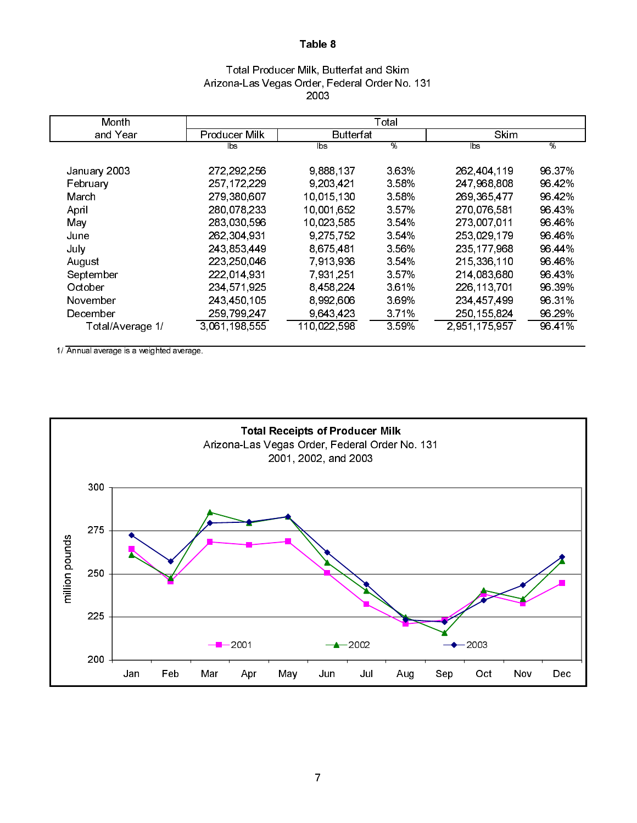# Total Producer Milk, Butterfat and Skim Arizona-Las Vegas Order, Federal Order No. 131 2003

| Month            |               |             | Total   |               |        |
|------------------|---------------|-------------|---------|---------------|--------|
| and Year         | Producer Milk | Butterfat   |         | Skim          |        |
|                  | lbs           | lbs         | %       | lbs           | %      |
| January 2003     | 272, 292, 256 | 9,888,137   | 3 63%   | 262,404,119   | 96 37% |
| February         | 257, 172, 229 | 9,203,421   | 3 58%   | 247,968,808   | 96 42% |
| March            | 279,380,607   | 10.015.130  | 3 58%   | 269 365 477   | 96 42% |
| April            | 280 078 233   | 10.001.652  | 3 5 7 % | 270,076,581   | 96 43% |
| May              | 283 030 596   | 10,023,585  | 3.54%   | 273,007,011   | 96 46% |
| June             | 262,304,931   | 9,275,752   | 3 54%   | 253 029 179   | 96 46% |
| July             | 243 853 449   | 8.675.481   | 3 56%   | 235 177 968   | 96 44% |
| August           | 223,250,046   | 7 913 936   | 3 54%   | 215 336 110   | 96 46% |
| September        | 222 014 931   | 7 931 251   | 3 5 7 % | 214,083,680   | 96 43% |
| October          | 234 571 925   | 8,458,224   | 361%    | 226,113,701   | 96 39% |
| November         | 243,450,105   | 8,992,606   | 3 69%   | 234 457 499   | 96 31% |
| December         | 259 799 247   | 9 643 423   | 3 7 1%  | 250, 155, 824 | 96 29% |
| Total/Average 1/ | 3 061 198 555 | 110,022,598 | 359%    | 2,951,175,957 | 96 41% |

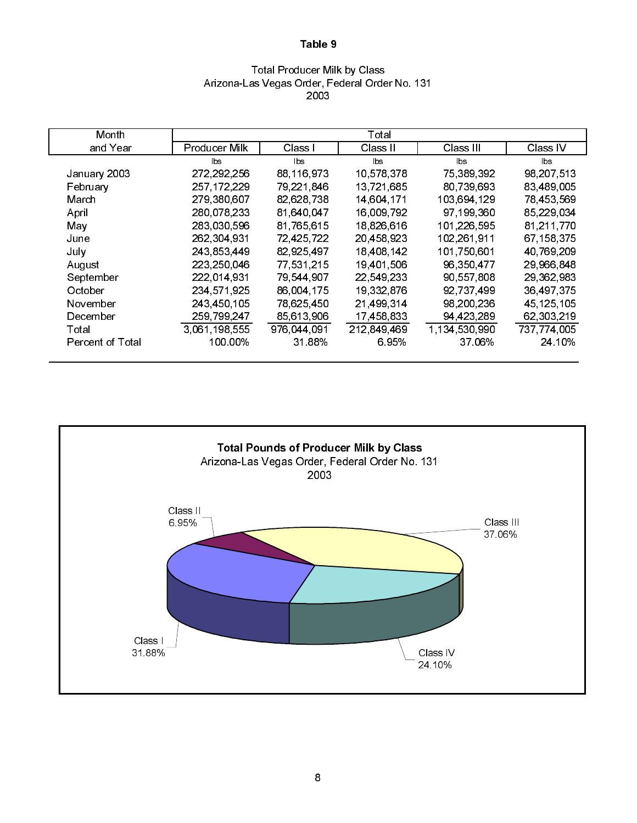### Total Producer Milk by Class Arizona-Las Vegas Order, Federal Order No. 131 2003

| Month                   |               |             | Total       |               |              |
|-------------------------|---------------|-------------|-------------|---------------|--------------|
| and Year                | Producer Milk | Class I     | Class II    | Class III     | Class IV     |
|                         | lbs.          | <b>bs</b>   | lbs         | lbs           | lbs          |
| January 2003            | 272,292,256   | 88,116,973  | 10,578,378  | 75,389,392    | 98,207,513   |
| February                | 257, 172, 229 | 79,221,846  | 13,721,685  | 80,739,693    | 83,489,005   |
| March                   | 279,380,607   | 82,628,738  | 14,604,171  | 103,694,129   | 78,453,569   |
| April                   | 280 078 233   | 81,640,047  | 16,009,792  | 97 199 360    | 85,229,034   |
| May                     | 283 030 596   | 81,765,615  | 18.826.616  | 101,226,595   | 81.211.770   |
| June                    | 262,304,931   | 72,425,722  | 20,458,923  | 102,261,911   | 67,158,375   |
| July                    | 243 853 449   | 82,925,497  | 18,408,142  | 101,750,601   | 40,769,209   |
| August                  | 223,250,046   | 77,531,215  | 19,401,506  | 96,350,477    | 29,966,848   |
| September               | 222,014,931   | 79,544,907  | 22,549,233  | 90,557,808    | 29,362,983   |
| October                 | 234 571 925   | 86,004,175  | 19,332,876  | 92,737,499    | 36,497,375   |
| November                | 243,450,105   | 78,625,450  | 21,499,314  | 98,200,236    | 45, 125, 105 |
| December                | 259 799 247   | 85,613,906  | 17,458,833  | 94,423,289    | 62,303,219   |
| Total                   | 3.061.198,555 | 976,044,091 | 212 849 469 | 1 134 530 990 | 737,774,005  |
| <b>Percent of Total</b> | 100 00%       | 31 88%      | 6.95%       | 37.06%        | 24 10%       |

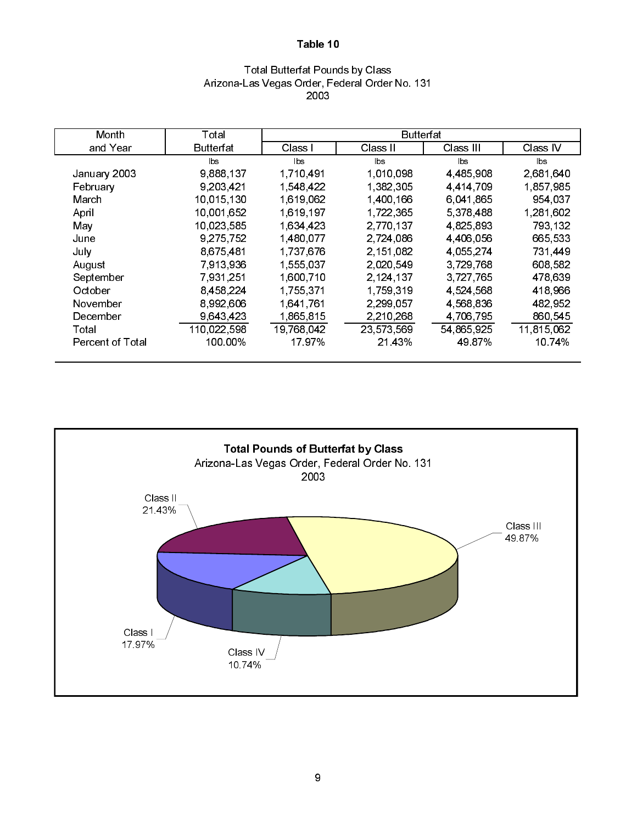### Total Butterfat Pounds by Class Arizona-Las Vegas Order, Federal Order No. 131 2003

| Month                   | Total       |            | <b>Butterfat</b> |              |            |
|-------------------------|-------------|------------|------------------|--------------|------------|
| and Year                | Butterfat   | Class I    | Class II         | Class III    | Class IV   |
|                         | lbs.        | lbs.       | lbs.             | lbs.         | bs         |
| January 2003            | 9,888,137   | 1,710,491  | 1.010,098        | 4,485,908    | 2,681,640  |
| February                | 9,203,421   | 1 548 422  | 1,382,305        | 4 4 14 7 0 9 | 1,857,985  |
| March                   | 10,015,130  | 1,619,062  | 1,400,166        | 6,041,865    | 954,037    |
| April                   | 10,001,652  | 1,619,197  | 1,722,365        | 5,378,488    | 1,281,602  |
| May                     | 10,023,585  | 1.634.423  | 2,770,137        | 4,825,893    | 793, 132   |
| June                    | 9,275,752   | 1,480,077  | 2.724,086        | 4,406,056    | 665,533    |
| July                    | 8,675,481   | 1,737,676  | 2.151.082        | 4 055 274    | 731,449    |
| August                  | 7,913,936   | 1,555,037  | 2.020,549        | 3,729,768    | 608,582    |
| September               | 7,931,251   | 1,600,710  | 2,124,137        | 3,727,765    | 478,639    |
| October                 | 8,458,224   | 1.755,371  | 1,759,319        | 4,524,568    | 418,966    |
| November                | 8.992,606   | 1,641,761  | 2,299,057        | 4 568 836    | 482,952    |
| December                | 9,643,423   | 1,865,815  | 2,210,268        | 4,706,795    | 860,545    |
| Total                   | 110,022,598 | 19 768 042 | 23,573,569       | 54,865,925   | 11,815,062 |
| <b>Percent of Total</b> | 100.00%     | 1797%      | 21 43%           | 49 87%       | 10 74%     |

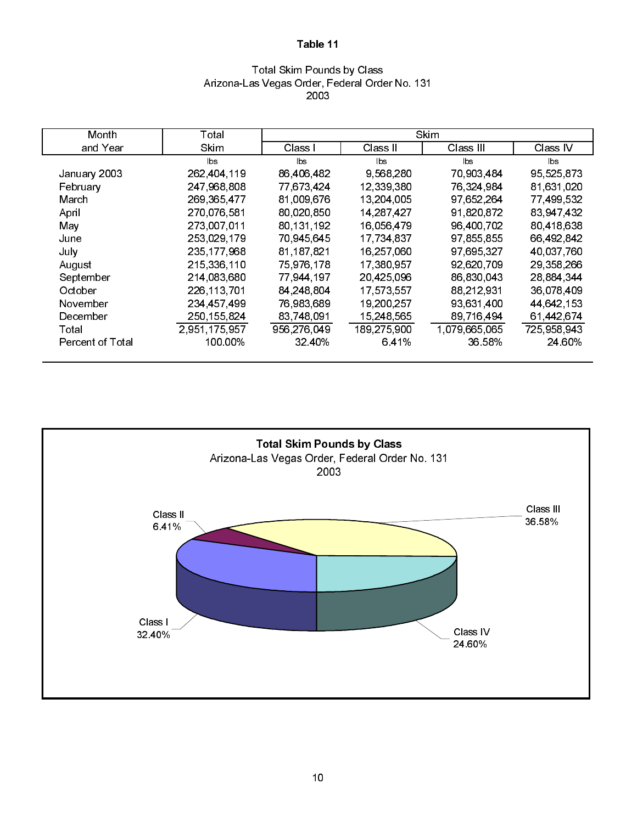# Total Skim Pounds by Class Arizona-Las Vegas Order, Federal Order No. 131 2003

| Month                   | Total         |             |              | Skim          |             |
|-------------------------|---------------|-------------|--------------|---------------|-------------|
| and Year                | <b>Skim</b>   | Class I     | Class II     | Class III     | Class IV    |
|                         | <b>bs</b>     | lbs         | lbs          | bs            | lbs.        |
| January 2003            | 262,404,119   | 86,406,482  | 9,568,280    | 70,903,484    | 95,525,873  |
| February                | 247,968,808   | 77,673,424  | 12 339 380   | 76,324,984    | 81,631,020  |
| March                   | 269, 365, 477 | 81 009 676  | 13,204,005   | 97 652 264    | 77,499,532  |
| April                   | 270.076.581   | 80,020,850  | 14, 287, 427 | 91,820,872    | 83,947,432  |
| May                     | 273,007,011   | 80 131 192  | 16,056,479   | 96 400 702    | 80,418,638  |
| June                    | 253 029 179   | 70,945,645  | 17,734,837   | 97,855,855    | 66,492,842  |
| July                    | 235 177 968   | 81,187,821  | 16,257,060   | 97,695,327    | 40,037,760  |
| August                  | 215 336 110   | 75,976,178  | 17,380,957   | 92,620,709    | 29,358,266  |
| September               | 214,083,680   | 77,944,197  | 20,425,096   | 86,830,043    | 28,884,344  |
| October                 | 226, 113, 701 | 84,248,804  | 17,573,557   | 88,212,931    | 36,078,409  |
| November                | 234 457 499   | 76,983,689  | 19,200,257   | 93,631,400    | 44 642 153  |
| December                | 250 155 824   | 83 748 091  | 15 248 565   | 89 716 494    | 61 442 674  |
| Total                   | 2.951.175.957 | 956 276 049 | 189 275 900  | 1,079,665,065 | 725 958 943 |
| <b>Percent of Total</b> | 100.00%       | 32 40%      | 6.41%        | 36 58%        | 24 60%      |

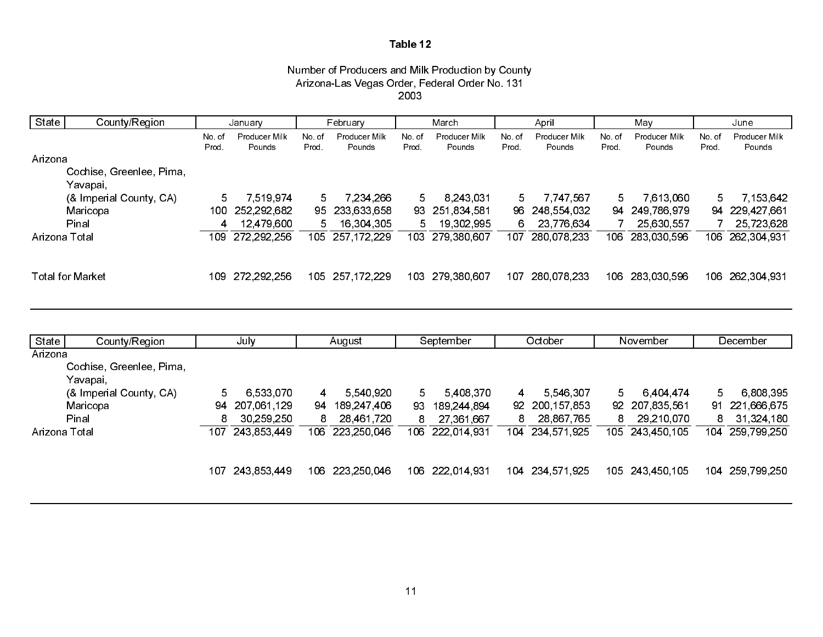#### Number of Producers and Milk Production by County Arizona-Las Vegas Order, Federal Order No. 131 2003

| State         | County/Region                        |       | January           |       | February          |       | March           |       | April           |       | Mav             |       | June            |
|---------------|--------------------------------------|-------|-------------------|-------|-------------------|-------|-----------------|-------|-----------------|-------|-----------------|-------|-----------------|
|               |                                      | No of | Producer Milk     | 'o of | Producer Milk     | No.of | Producer Milk   | No.of | Producer Milk   | No.of | Producer Milk   | No.of | Producer Milk   |
| Arizona       |                                      | Prod. | Pounds            | Prod. | Pounds            | Prod. | Pounds          | Prod. | Pounds          | Prod  | Pounds          | Prod  | Pounds          |
|               | Cochise, Greenlee, Pima,<br>Yavapai, |       |                   |       |                   |       |                 |       |                 |       |                 |       |                 |
|               | (& Imperial County, CA)              |       | 7 519 974         |       | 7.234.266         |       | 8.243.031       |       | 7 7 4 7 5 6 7   |       | 7,613,060       |       | 7, 153, 642     |
|               | Maricopa                             |       | 100 252 292 682   |       | 95 233 633 658    |       | 93 251 834 581  |       | 96 248 554 032  |       | 94 249 786 979  |       | 94 229 427 661  |
|               | Pinal                                |       | 12,479,600        |       | 16,304,305        |       | 19,302,995      | 6.    | 23 776 634      |       | 25,630,557      |       | 25,723,628      |
| Arizona Total |                                      |       | 109 272, 292, 256 |       | 105 257, 172, 229 |       | 103 279,380,607 |       | 107 280,078,233 |       | 106 283,030,596 |       | 106 262,304,931 |
|               | <b>Total for Market</b>              |       | 109 272, 292, 256 |       | 105 257 172 229   |       | 103 279 380 607 |       | 107 280 078 233 |       | 106 283 030 596 |       | 106 262 304 931 |

| State         | County/Region            | July |              | August |             | September |             | October |                | November |                | December |                 |
|---------------|--------------------------|------|--------------|--------|-------------|-----------|-------------|---------|----------------|----------|----------------|----------|-----------------|
| Arizona       |                          |      |              |        |             |           |             |         |                |          |                |          |                 |
|               | Cochise, Greenlee, Pima, |      |              |        |             |           |             |         |                |          |                |          |                 |
|               | Yavapai,                 |      |              |        |             |           |             |         |                |          |                |          |                 |
|               | (& Imperial County, CA)  | 5.   | 6 533 070    | 4      | 5 540 920   | 5.        | 5408370     | 4       | 5 546 307      | 5.       | 6 4 0 4 4 7 4  | 5        | 6 808 395       |
|               | Maricopa                 | 94   | 207,061,129  | 94     | 189,247,406 | 93        | 189,244,894 |         | 92 200 157 853 |          | 92 207 835 561 | 91       | 221 666 675     |
|               | Pinal                    | 8    | 30, 259, 250 | 8      | 28 461 720  | 8         | 27 361 667  | 8.      | 28,867,765     | 8        | 29 210 070     | 8        | 31,324,180      |
| Arizona Total |                          | 107  | 243 853 449  | 106.   | 223 250 046 | 106       | 222 014 931 | 104     | 234,571,925    | 105      | 243 450 105    |          | 104 259 799 250 |
|               |                          |      |              |        |             |           |             |         |                |          |                |          |                 |
|               |                          | 107  | 243 853 449  | 106.   | 223 250 046 | 106       | 222 014 931 | 104     | 234,571,925    | 105 -    | 243 450 105    | 104      | 259 799 250     |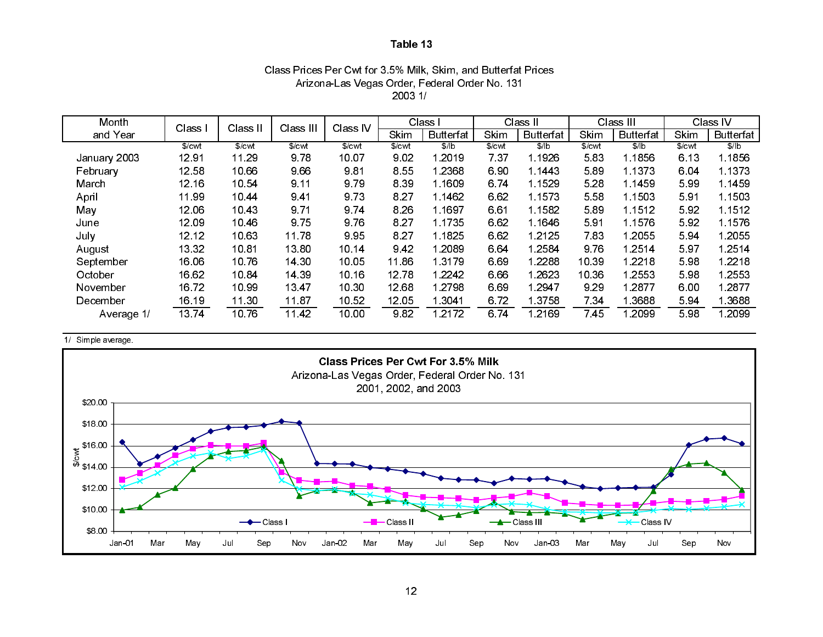# Class Prices Per Cwt for 3.5% Milk, Skim, and Butterfat Prices Arizona-Las Vegas Order, Federal Order No. 131 2003 1/

| Month        | Class             | Class II          | Class III         | Class IV |             | Class I          |        | Class II         |        | Class III        |        | Class IV         |
|--------------|-------------------|-------------------|-------------------|----------|-------------|------------------|--------|------------------|--------|------------------|--------|------------------|
| and Year     |                   |                   |                   |          | <b>Skim</b> | <b>Butterfat</b> | Skim   | <b>Butterfat</b> | Skim   | <b>Butterfat</b> | Skim   | <b>Butterfat</b> |
|              | \$/ <sub>cm</sub> | \$/ <sub>cm</sub> | \$/ <sub>cm</sub> | \$/cwl   | \$/cwt      | \$/ b            | \$/cwl | \$/b             | \$/cwl | \$/ b            | \$/cwl | \$/b             |
| January 2003 | 1291              | 11.29             | 978               | 10.07    | 9.02        | 1 2019           | 737    | 1 1926           | 583    | 1 1856           | 6.13   | 1.1856           |
| February     | 12 58             | 10 66             | 9.66              | 981      | 8.55        | 1 2368           | 6.90   | 1 1443           | 5.89   | 1 1373           | 6.04   | 1.1373           |
| March        | 12.16             | 10 54             | 9.11              | 979      | 8.39        | 1 1609           | 6.74   | 1 1529           | 5.28   | 1 1459           | 599    | 1 1 4 5 9        |
| April        | 1199              | 1044              | 941               | 973      | 8.27        | 1.1462           | 6.62   | 1.1573           | 5.58   | 1 1503           | 5.91   | 1.1503           |
| May          | 12 06             | 1043              | 9.71              | 974      | 8.26        | 1 1697           | 661    | 1 1 5 8 2        | 5.89   | 1 1512           | 592    | 1.1512           |
| June         | 12 09             | 1046              | 975               | 976      | 8.27        | 1 1735           | 6.62   | 1 1 6 4 6        | 5.91   | 1 1576           | 592    | 1.1576           |
| July         | 12.12             | 10 63             | 1178              | 995      | 8.27        | 1 1825           | 6.62   | 1.2125           | 7.83   | 1 2055           | 594    | 1 2055           |
| August       | 13 32             | 1081              | 1380              | 10.14    | 9 4 2       | 1 2089           | 6.64   | 1 2584           | 9.76   | 1 2514           | 597    | 1 2514           |
| September    | 16.06             | 1076              | 14 30             | 10.05    | 11 86       | 1 3 1 7 9        | 6.69   | 1 2 2 8 8        | 10 39  | 1 2 2 1 8        | 598    | 1 2 2 1 8        |
| October      | 16 62             | 1084              | 14 39             | 10 16    | 12 78       | 1 2242           | 6.66   | 1.2623           | 10 36  | 1 2553           | 598    | 1 2553           |
| November     | 1672              | 10 99             | 13 47             | 10.30    | 12 68       | 1 2798           | 6.69   | 1 2947           | 9.29   | 1 2877           | 6.00   | 1 2877           |
| December     | 16.19             | 11 30             | 11.87             | 10 52    | 12.05       | 1 3041           | 6.72   | 1 3 7 5 8        | 7 34   | 1 3688           | 594    | 1 3 6 8 8        |
| Average 1/   | 1374              | 1076              | 11 42             | 10.00    | 9.82        | 1 2172           | 6.74   | 1 2169           | 7 45   | 2099             | 598    | 1 2099           |

#### 1/ Simple average.

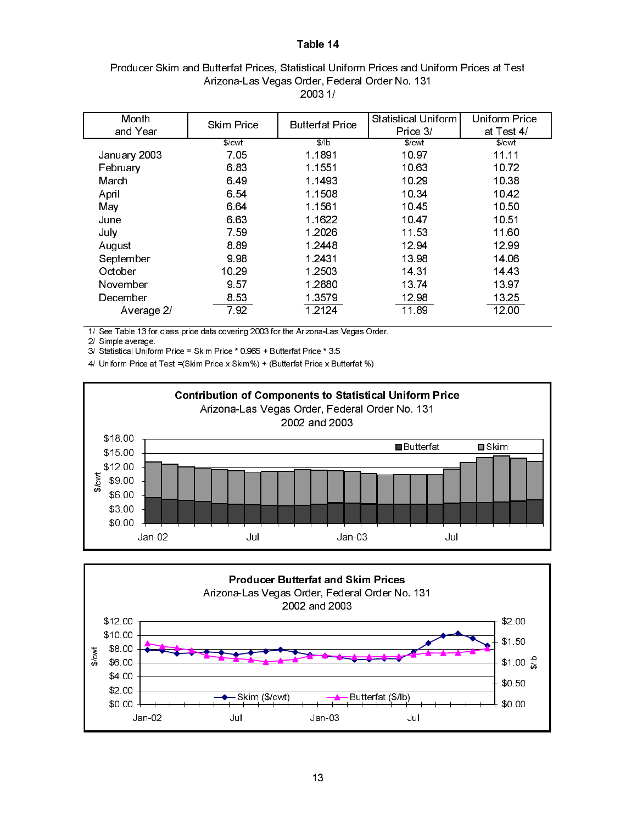### Producer Skim and Butterfat Prices, Statistical Uniform Prices and Uniform Prices at Test Arizona-Las Vegas Order, Federal Order No. 131 2003 1/

| Month        | <b>Skim Price</b> | <b>Butterfat Price</b> | Statistical Uniform | Uniform Price     |
|--------------|-------------------|------------------------|---------------------|-------------------|
| and Year     |                   |                        | Price 3/            | at Test 4/        |
|              | $%$ cwt           | $$$ /b                 | $%$ $\sim$          | \$/ <sub>cm</sub> |
| January 2003 | 7.05              | 1 1891                 | 10 97               | 11.11             |
| February     | 6.83              | 1 1551                 | 10.63               | 10.72             |
| March        | 6.49              | 1 1493                 | 10.29               | 10.38             |
| April        | 6.54              | 1 1508                 | 10 34               | 1042              |
| May          | 664               | 1 1561                 | 10.45               | 10.50             |
| June         | 6.63              | 1 1622                 | 10 47               | 10 51             |
| July         | 7.59              | 1.2026                 | 11.53               | 11.60             |
| August       | 8.89              | 1 2448                 | 12.94               | 12.99             |
| September    | 998               | 1 2431                 | 13 98               | 14 06             |
| October      | 10.29             | 1 2503                 | 14 31               | 14 43             |
| November     | 9.57              | 1 2880                 | 13 74               | 13 97             |
| December     | 853               | 1 3579                 | 12 98               | 13 25             |
| Average 2/   | 792               | 1 2 1 2 4              | 11.89               | 12.00             |

1/ See Table 13 for class price data covering 2003 for the Arizona-Las Vegas Order.

2/ Simple average.

3/ Statistical Uniform Price = Skim Price \* 0.965 + Butterfat Price \* 3.5

4/ Uniform Price at Test =(Skim Price x Skim%) + (Butterfat Price x Butterfat %)



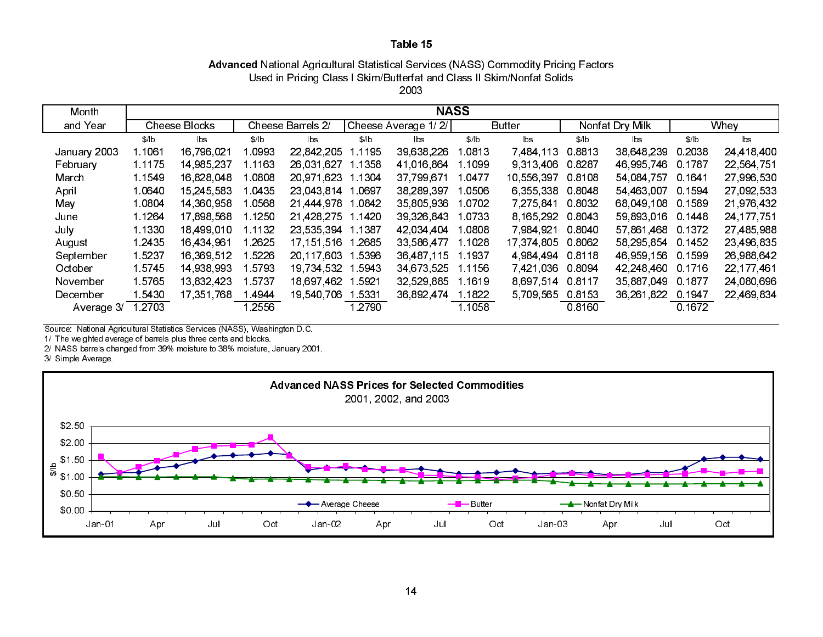### Advanced National Agricultural Statistical Services (NASS) Commodity Pricing Factors 2003Used in Pricing Class I Skim/Butterfat and Class II Skim/Nonfat Solids

| Month        |                      | <b>NASS</b> |                   |            |                     |            |        |                |                 |            |        |              |
|--------------|----------------------|-------------|-------------------|------------|---------------------|------------|--------|----------------|-----------------|------------|--------|--------------|
| and Year     | <b>Cheese Blocks</b> |             | Cheese Barrels 2/ |            | Cheese Average 1/2/ |            | Butter |                | Nonfat Dry Milk |            | Whey   |              |
|              | \$/ b                | lbs         | \$/lb             | bs         | \$/ b               | lbs.       | \$/lb  | $\mathsf{lbs}$ | \$/ b           | lbs        | \$/lb  | lbs          |
| January 2003 | 1.1061               | 16,796,021  | 0993              | 22 842 205 | .1195               | 39 638 226 | 0813   | 7,484,113      | 08813           | 38 648 239 | 0.2038 | 24,418,400   |
| February     | 1.1175               | 14,985,237  | 1 1 1 6 3         | 26.031.627 | Ⅰ.1358              | 41.016.864 | 1099   | 9 3 1 3 4 0 6  | 0.8287          | 46 995 746 | 0.1787 | 22,564,751   |
| March        | 1 1549               | 16,828,048  | .0808             | 20 971 623 | 1 1304              | 37,799,671 | .0477  | 10.556.397     | 0.8108          | 54.084.757 | 0.1641 | 27,996,530   |
| April        | 10640                | 15.245.583  | 1.0435            | 23 043 814 | .0697               | 38,289,397 | 0506   | 6.355.338      | 0.8048          | 54 463 007 | 0.1594 | 27 092 533   |
| May          | 1.0804               | 14 360 958  | 1.0568            | 21,444,978 | .0842               | 35 805 936 | .0702  | 7.275.841      | 0.8032          | 68 049 108 | 0.1589 | 21 976 432   |
| June         | 1 1 2 6 4            | 17,898,568  | 1.1250            | 21,428,275 | 1 1420              | 39,326,843 | 0733   | 8 165 292      | 0 8043          | 59,893,016 | 0.1448 | 24, 177, 751 |
| July         | 1 1330               | 18 499 010  | 1.1132            | 23 535 394 | l 1387              | 42 034 404 | .0808  | 7 984 921      | 0.8040          | 57 861 468 | 0 1372 | 27,485,988   |
| August       | 1 2435               | 16 434 961  | 2625              | 17.151.516 | .2685               | 33 586 477 | 1028   | 17 374 805     | 0.8062          | 58,295,854 | 0.1452 | 23,496,835   |
| September    | 1 5237               | 16 369 512  | 5226              | 20 117 603 | 5396                | 36 487 115 | 1.1937 | 4 984 494      | 0.8118          | 46,959,156 | 0.1599 | 26,988,642   |
| October      | 1 5745               | 14,938,993  | 5793              | 19 734 532 | 5943                | 34,673,525 | 1 1156 | 7 421 036      | 0.8094          | 42 248 460 | 0.1716 | 22,177,461   |
| November     | 15765                | 13 832 423  | 5737              | 18,697,462 | 5921                | 32,529,885 | l 1619 | 8 697 514      | 0.8117          | 35,887,049 | 0 1877 | 24,080,696   |
| December     | 5430                 | 17,351,768  | 4944              | 19,540,706 | 5331                | 36 892 474 | 1.1822 | 5709565        | 08153           | 36,261,822 | 0 1947 | 22,469,834   |
| Average 3/   | 1.2703               |             | 2556              |            | .2790               |            | 1.1058 |                | 08160           |            | 0.1672 |              |

Source: National Agricultural Statistics Services (NASS), Washington D.C.

1/ The weighted average of barrels plus three cents and blocks.

2/ NASS barrels changed from 39% moisture to 38% moisture, January 2001.

3/ Simple Average.